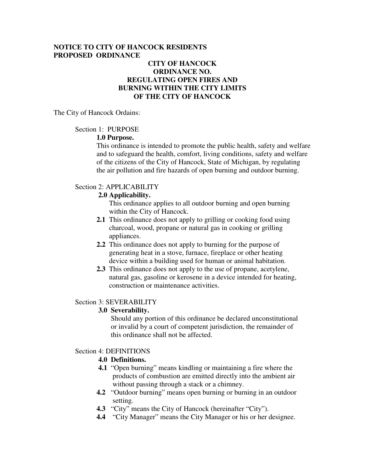### **NOTICE TO CITY OF HANCOCK RESIDENTS PROPOSED ORDINANCE**

## **CITY OF HANCOCK ORDINANCE NO. REGULATING OPEN FIRES AND BURNING WITHIN THE CITY LIMITS OF THE CITY OF HANCOCK**

The City of Hancock Ordains:

Section 1: PURPOSE

#### **1.0 Purpose.**

 This ordinance is intended to promote the public health, safety and welfare and to safeguard the health, comfort, living conditions, safety and welfare of the citizens of the City of Hancock, State of Michigan, by regulating the air pollution and fire hazards of open burning and outdoor burning.

## Section 2: APPLICABILITY

## **2.0 Applicability.**

 This ordinance applies to all outdoor burning and open burning within the City of Hancock.

- **2.1** This ordinance does not apply to grilling or cooking food using charcoal, wood, propane or natural gas in cooking or grilling appliances.
- **2.2** This ordinance does not apply to burning for the purpose of generating heat in a stove, furnace, fireplace or other heating device within a building used for human or animal habitation.
- **2.3** This ordinance does not apply to the use of propane, acetylene, natural gas, gasoline or kerosene in a device intended for heating, construction or maintenance activities.

#### Section 3: SEVERABILITY

#### **3.0 Severability.**

Should any portion of this ordinance be declared unconstitutional or invalid by a court of competent jurisdiction, the remainder of this ordinance shall not be affected.

#### Section 4: DEFINITIONS

#### **4.0 Definitions.**

- **4.1** "Open burning" means kindling or maintaining a fire where the products of combustion are emitted directly into the ambient air without passing through a stack or a chimney.
- **4.2** "Outdoor burning" means open burning or burning in an outdoor setting.
- **4.3** "City" means the City of Hancock (hereinafter "City").
- **4.4** "City Manager" means the City Manager or his or her designee.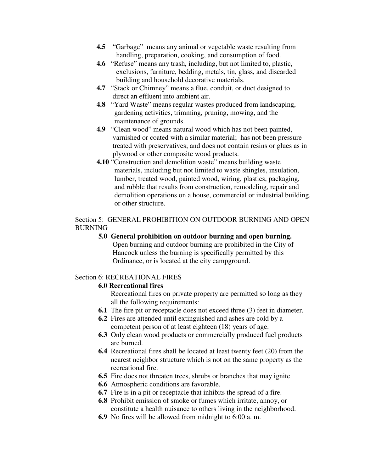- **4.5** "Garbage" means any animal or vegetable waste resulting from handling, preparation, cooking, and consumption of food.
- **4.6** "Refuse" means any trash, including, but not limited to, plastic, exclusions, furniture, bedding, metals, tin, glass, and discarded building and household decorative materials.
- **4.7** "Stack or Chimney" means a flue, conduit, or duct designed to direct an effluent into ambient air.
- **4.8** "Yard Waste" means regular wastes produced from landscaping, gardening activities, trimming, pruning, mowing, and the maintenance of grounds.
- **4.9** "Clean wood" means natural wood which has not been painted, varnished or coated with a similar material; has not been pressure treated with preservatives; and does not contain resins or glues as in plywood or other composite wood products.
- **4.10** "Construction and demolition waste" means building waste materials, including but not limited to waste shingles, insulation, lumber, treated wood, painted wood, wiring, plastics, packaging, and rubble that results from construction, remodeling, repair and demolition operations on a house, commercial or industrial building, or other structure.

## Section 5: GENERAL PROHIBITION ON OUTDOOR BURNING AND OPEN BURNING

**5.0 General prohibition on outdoor burning and open burning.** Open burning and outdoor burning are prohibited in the City of Hancock unless the burning is specifically permitted by this Ordinance, or is located at the city campground.

# Section 6: RECREATIONAL FIRES

#### **6.0 Recreational fires**

Recreational fires on private property are permitted so long as they all the following requirements:

- **6.1** The fire pit or receptacle does not exceed three (3) feet in diameter.
- **6.2** Fires are attended until extinguished and ashes are cold by a competent person of at least eighteen (18) years of age.
- **6.3** Only clean wood products or commercially produced fuel products are burned.
- **6.4** Recreational fires shall be located at least twenty feet (20) from the nearest neighbor structure which is not on the same property as the recreational fire.
- **6.5** Fire does not threaten trees, shrubs or branches that may ignite
- **6.6** Atmospheric conditions are favorable.
- **6.7** Fire is in a pit or receptacle that inhibits the spread of a fire.
- **6.8** Prohibit emission of smoke or fumes which irritate, annoy, or constitute a health nuisance to others living in the neighborhood.
- **6.9** No fires will be allowed from midnight to 6:00 a. m.